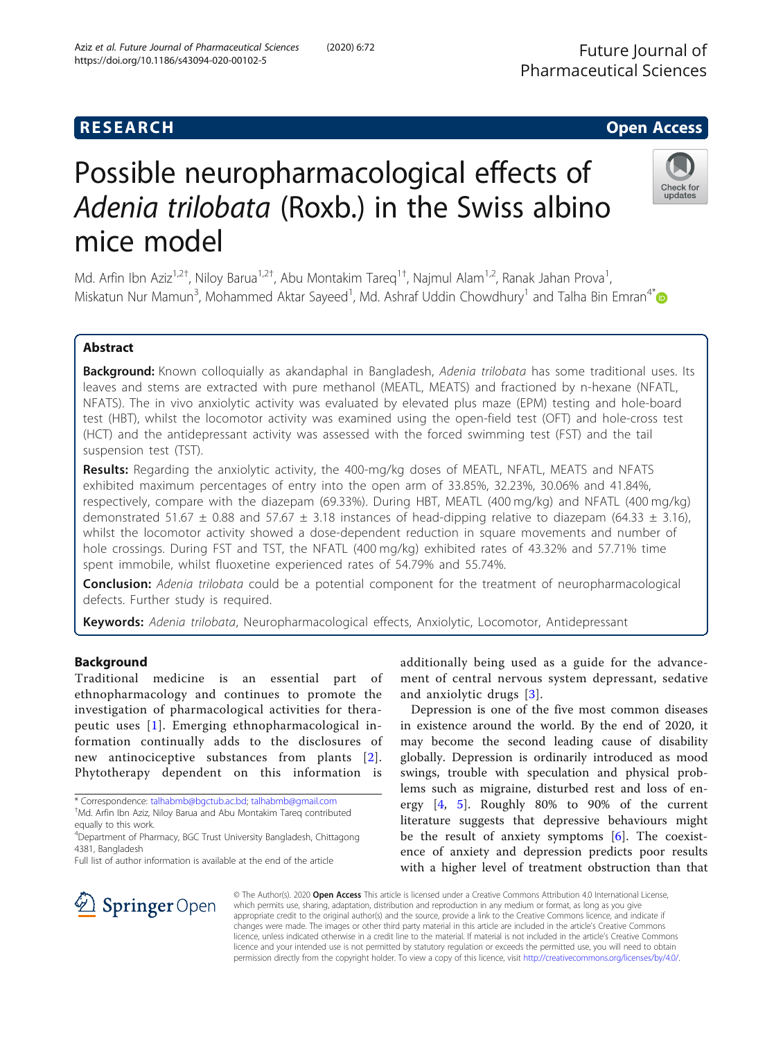# **RESEARCH CHE Open Access**

# Possible neuropharmacological effects of Adenia trilobata (Roxb.) in the Swiss albino mice model

Md. Arfin Ibn Aziz<sup>1,2†</sup>, Niloy Barua<sup>1,2†</sup>, Abu Montakim Tareq<sup>1†</sup>, Najmul Alam<sup>1,2</sup>, Ranak Jahan Prova<sup>1</sup> , Miskatun Nur Mamun<sup>3</sup>, Mohammed Aktar Sayeed<sup>1</sup>, Md. Ashraf Uddin Chowdhury<sup>1</sup> and Talha Bin Emran<sup>4[\\*](http://orcid.org/0000-0003-3188-2272)</sup>

# Abstract

Background: Known colloquially as akandaphal in Bangladesh, Adenia trilobata has some traditional uses. Its leaves and stems are extracted with pure methanol (MEATL, MEATS) and fractioned by n-hexane (NFATL, NFATS). The in vivo anxiolytic activity was evaluated by elevated plus maze (EPM) testing and hole-board test (HBT), whilst the locomotor activity was examined using the open-field test (OFT) and hole-cross test (HCT) and the antidepressant activity was assessed with the forced swimming test (FST) and the tail suspension test (TST).

Results: Regarding the anxiolytic activity, the 400-mg/kg doses of MEATL, NFATL, MEATS and NFATS exhibited maximum percentages of entry into the open arm of 33.85%, 32.23%, 30.06% and 41.84%, respectively, compare with the diazepam (69.33%). During HBT, MEATL (400 mg/kg) and NFATL (400 mg/kg) demonstrated 51.67  $\pm$  0.88 and 57.67  $\pm$  3.18 instances of head-dipping relative to diazepam (64.33  $\pm$  3.16), whilst the locomotor activity showed a dose-dependent reduction in square movements and number of hole crossings. During FST and TST, the NFATL (400 mg/kg) exhibited rates of 43.32% and 57.71% time spent immobile, whilst fluoxetine experienced rates of 54.79% and 55.74%.

**Conclusion:** Adenia trilobata could be a potential component for the treatment of neuropharmacological defects. Further study is required.

Keywords: Adenia trilobata, Neuropharmacological effects, Anxiolytic, Locomotor, Antidepressant

# Background

Traditional medicine is an essential part of ethnopharmacology and continues to promote the investigation of pharmacological activities for therapeutic uses [[1](#page-6-0)]. Emerging ethnopharmacological information continually adds to the disclosures of new antinociceptive substances from plants [[2\]](#page-6-0). Phytotherapy dependent on this information is

\* Correspondence: [talhabmb@bgctub.ac.bd;](mailto:talhabmb@bgctub.ac.bd) [talhabmb@gmail.com](mailto:talhabmb@gmail.com) † Md. Arfin Ibn Aziz, Niloy Barua and Abu Montakim Tareq contributed equally to this work.

4 Department of Pharmacy, BGC Trust University Bangladesh, Chittagong 4381, Bangladesh

SpringerOpen

additionally being used as a guide for the advancement of central nervous system depressant, sedative and anxiolytic drugs [\[3](#page-6-0)].

Depression is one of the five most common diseases in existence around the world. By the end of 2020, it may become the second leading cause of disability globally. Depression is ordinarily introduced as mood swings, trouble with speculation and physical problems such as migraine, disturbed rest and loss of energy [[4,](#page-6-0) [5\]](#page-6-0). Roughly 80% to 90% of the current literature suggests that depressive behaviours might be the result of anxiety symptoms [[6](#page-6-0)]. The coexistence of anxiety and depression predicts poor results with a higher level of treatment obstruction than that

© The Author(s). 2020 Open Access This article is licensed under a Creative Commons Attribution 4.0 International License, which permits use, sharing, adaptation, distribution and reproduction in any medium or format, as long as you give appropriate credit to the original author(s) and the source, provide a link to the Creative Commons licence, and indicate if changes were made. The images or other third party material in this article are included in the article's Creative Commons licence, unless indicated otherwise in a credit line to the material. If material is not included in the article's Creative Commons licence and your intended use is not permitted by statutory regulation or exceeds the permitted use, you will need to obtain permission directly from the copyright holder. To view a copy of this licence, visit <http://creativecommons.org/licenses/by/4.0/>.







Full list of author information is available at the end of the article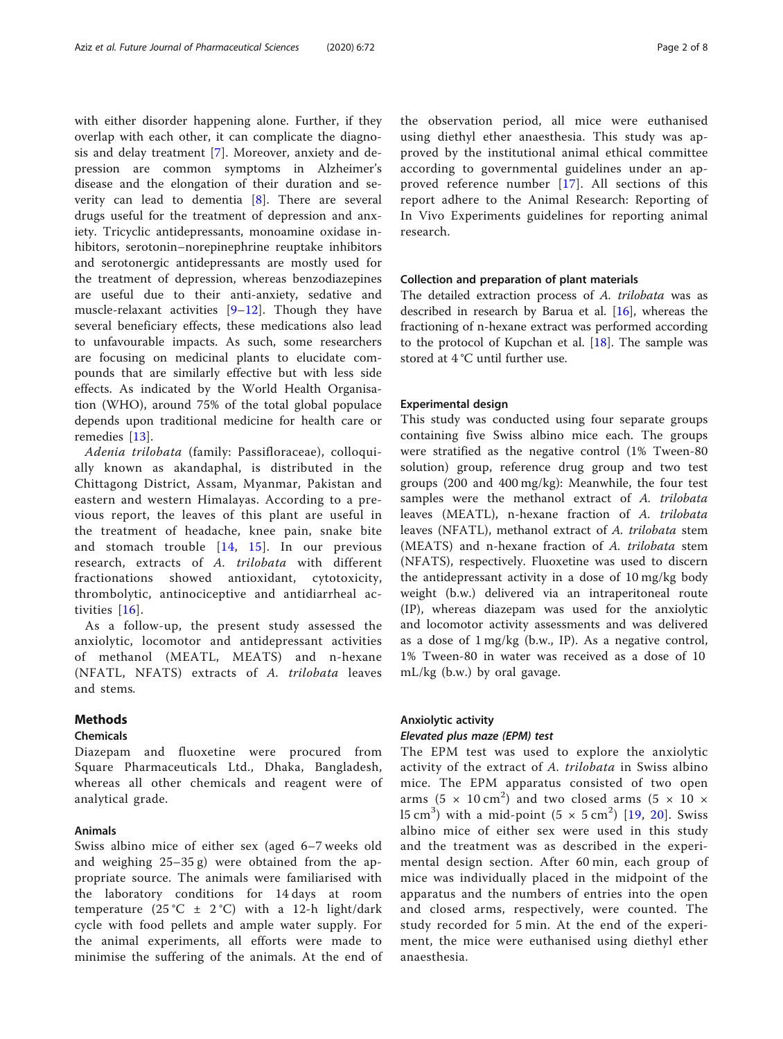with either disorder happening alone. Further, if they overlap with each other, it can complicate the diagnosis and delay treatment [\[7](#page-6-0)]. Moreover, anxiety and depression are common symptoms in Alzheimer's disease and the elongation of their duration and severity can lead to dementia [\[8\]](#page-6-0). There are several drugs useful for the treatment of depression and anxiety. Tricyclic antidepressants, monoamine oxidase inhibitors, serotonin–norepinephrine reuptake inhibitors and serotonergic antidepressants are mostly used for the treatment of depression, whereas benzodiazepines are useful due to their anti-anxiety, sedative and muscle-relaxant activities  $[9-12]$  $[9-12]$  $[9-12]$  $[9-12]$  $[9-12]$ . Though they have several beneficiary effects, these medications also lead to unfavourable impacts. As such, some researchers are focusing on medicinal plants to elucidate compounds that are similarly effective but with less side effects. As indicated by the World Health Organisation (WHO), around 75% of the total global populace depends upon traditional medicine for health care or remedies [\[13](#page-7-0)].

Adenia trilobata (family: Passifloraceae), colloquially known as akandaphal, is distributed in the Chittagong District, Assam, Myanmar, Pakistan and eastern and western Himalayas. According to a previous report, the leaves of this plant are useful in the treatment of headache, knee pain, snake bite and stomach trouble [[14,](#page-7-0) [15\]](#page-7-0). In our previous research, extracts of A. trilobata with different fractionations showed antioxidant, cytotoxicity, thrombolytic, antinociceptive and antidiarrheal activities [[16](#page-7-0)].

As a follow-up, the present study assessed the anxiolytic, locomotor and antidepressant activities of methanol (MEATL, MEATS) and n-hexane (NFATL, NFATS) extracts of A. trilobata leaves and stems.

# Methods

# Chemicals

Diazepam and fluoxetine were procured from Square Pharmaceuticals Ltd., Dhaka, Bangladesh, whereas all other chemicals and reagent were of analytical grade.

## Animals

Swiss albino mice of either sex (aged 6–7 weeks old and weighing 25–35 g) were obtained from the appropriate source. The animals were familiarised with the laboratory conditions for 14 days at room temperature  $(25 °C \pm 2 °C)$  with a 12-h light/dark cycle with food pellets and ample water supply. For the animal experiments, all efforts were made to minimise the suffering of the animals. At the end of the observation period, all mice were euthanised using diethyl ether anaesthesia. This study was approved by the institutional animal ethical committee according to governmental guidelines under an approved reference number [[17](#page-7-0)]. All sections of this report adhere to the Animal Research: Reporting of In Vivo Experiments guidelines for reporting animal research.

## Collection and preparation of plant materials

The detailed extraction process of A. trilobata was as described in research by Barua et al. [\[16\]](#page-7-0), whereas the fractioning of n-hexane extract was performed according to the protocol of Kupchan et al. [[18\]](#page-7-0). The sample was stored at 4 °C until further use.

## Experimental design

This study was conducted using four separate groups containing five Swiss albino mice each. The groups were stratified as the negative control (1% Tween-80 solution) group, reference drug group and two test groups (200 and 400 mg/kg): Meanwhile, the four test samples were the methanol extract of A. trilobata leaves (MEATL), n-hexane fraction of A. trilobata leaves (NFATL), methanol extract of A. trilobata stem (MEATS) and n-hexane fraction of A. trilobata stem (NFATS), respectively. Fluoxetine was used to discern the antidepressant activity in a dose of 10 mg/kg body weight (b.w.) delivered via an intraperitoneal route (IP), whereas diazepam was used for the anxiolytic and locomotor activity assessments and was delivered as a dose of 1 mg/kg (b.w., IP). As a negative control, 1% Tween-80 in water was received as a dose of 10 mL/kg (b.w.) by oral gavage.

# Anxiolytic activity

#### Elevated plus maze (EPM) test

The EPM test was used to explore the anxiolytic activity of the extract of A. trilobata in Swiss albino mice. The EPM apparatus consisted of two open arms (5  $\times$  10 cm<sup>2</sup>) and two closed arms (5  $\times$  10  $\times$ 15 cm<sup>3</sup>) with a mid-point  $(5 \times 5 \text{ cm}^2)$  [[19](#page-7-0), [20](#page-7-0)]. Swiss albino mice of either sex were used in this study and the treatment was as described in the experimental design section. After 60 min, each group of mice was individually placed in the midpoint of the apparatus and the numbers of entries into the open and closed arms, respectively, were counted. The study recorded for 5 min. At the end of the experiment, the mice were euthanised using diethyl ether anaesthesia.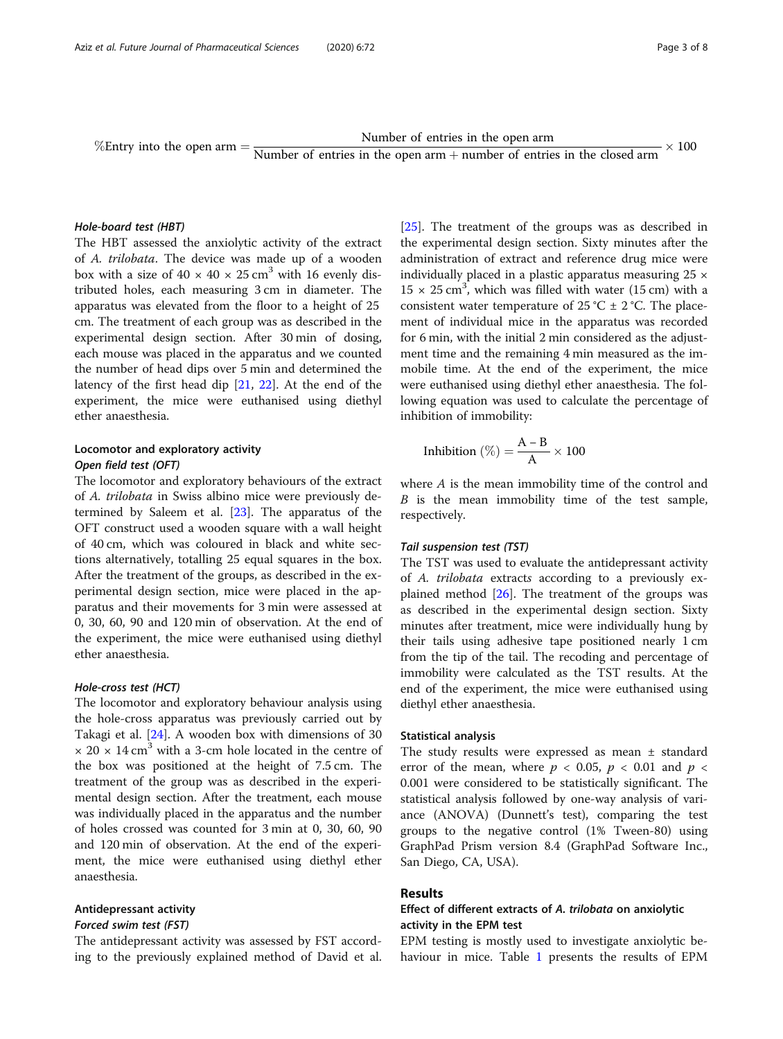%Entry into the open arm  $=$   $\frac{\text{Number of entries in the open arm}}{\text{Number of entries in the open arm} + \text{number of entries in the closed arm}} \times$  $- \times 100$ 

#### Hole-board test (HBT)

The HBT assessed the anxiolytic activity of the extract of A. trilobata. The device was made up of a wooden box with a size of  $40 \times 40 \times 25$  cm<sup>3</sup> with 16 evenly distributed holes, each measuring 3 cm in diameter. The apparatus was elevated from the floor to a height of 25 cm. The treatment of each group was as described in the experimental design section. After 30 min of dosing, each mouse was placed in the apparatus and we counted the number of head dips over 5 min and determined the latency of the first head dip [\[21,](#page-7-0) [22\]](#page-7-0). At the end of the experiment, the mice were euthanised using diethyl ether anaesthesia.

# Locomotor and exploratory activity Open field test (OFT)

The locomotor and exploratory behaviours of the extract of A. trilobata in Swiss albino mice were previously determined by Saleem et al. [[23\]](#page-7-0). The apparatus of the OFT construct used a wooden square with a wall height of 40 cm, which was coloured in black and white sections alternatively, totalling 25 equal squares in the box. After the treatment of the groups, as described in the experimental design section, mice were placed in the apparatus and their movements for 3 min were assessed at 0, 30, 60, 90 and 120 min of observation. At the end of the experiment, the mice were euthanised using diethyl ether anaesthesia.

# Hole-cross test (HCT)

The locomotor and exploratory behaviour analysis using the hole-cross apparatus was previously carried out by Takagi et al. [[24](#page-7-0)]. A wooden box with dimensions of 30  $\times$  20  $\times$  14 cm<sup>3</sup> with a 3-cm hole located in the centre of the box was positioned at the height of 7.5 cm. The treatment of the group was as described in the experimental design section. After the treatment, each mouse was individually placed in the apparatus and the number of holes crossed was counted for 3 min at 0, 30, 60, 90 and 120 min of observation. At the end of the experiment, the mice were euthanised using diethyl ether anaesthesia.

# Antidepressant activity

# Forced swim test (FST)

The antidepressant activity was assessed by FST according to the previously explained method of David et al. [[25\]](#page-7-0). The treatment of the groups was as described in the experimental design section. Sixty minutes after the administration of extract and reference drug mice were individually placed in a plastic apparatus measuring  $25 \times$  $15 \times 25$  cm<sup>3</sup>, which was filled with water (15 cm) with a consistent water temperature of 25 °C  $\pm$  2 °C. The placement of individual mice in the apparatus was recorded for 6 min, with the initial 2 min considered as the adjustment time and the remaining 4 min measured as the immobile time. At the end of the experiment, the mice were euthanised using diethyl ether anaesthesia. The following equation was used to calculate the percentage of inhibition of immobility:

Inhibition (
$$
\%
$$
) =  $\frac{A - B}{A} \times 100$ 

where A is the mean immobility time of the control and B is the mean immobility time of the test sample, respectively.

#### Tail suspension test (TST)

The TST was used to evaluate the antidepressant activity of A. trilobata extracts according to a previously explained method  $[26]$  $[26]$  $[26]$ . The treatment of the groups was as described in the experimental design section. Sixty minutes after treatment, mice were individually hung by their tails using adhesive tape positioned nearly 1 cm from the tip of the tail. The recoding and percentage of immobility were calculated as the TST results. At the end of the experiment, the mice were euthanised using diethyl ether anaesthesia.

#### Statistical analysis

The study results were expressed as mean ± standard error of the mean, where  $p < 0.05$ ,  $p < 0.01$  and  $p <$ 0.001 were considered to be statistically significant. The statistical analysis followed by one-way analysis of variance (ANOVA) (Dunnett's test), comparing the test groups to the negative control (1% Tween-80) using GraphPad Prism version 8.4 (GraphPad Software Inc., San Diego, CA, USA).

# Results

# Effect of different extracts of A. trilobata on anxiolytic activity in the EPM test

EPM testing is mostly used to investigate anxiolytic behaviour in mice. Table [1](#page-3-0) presents the results of EPM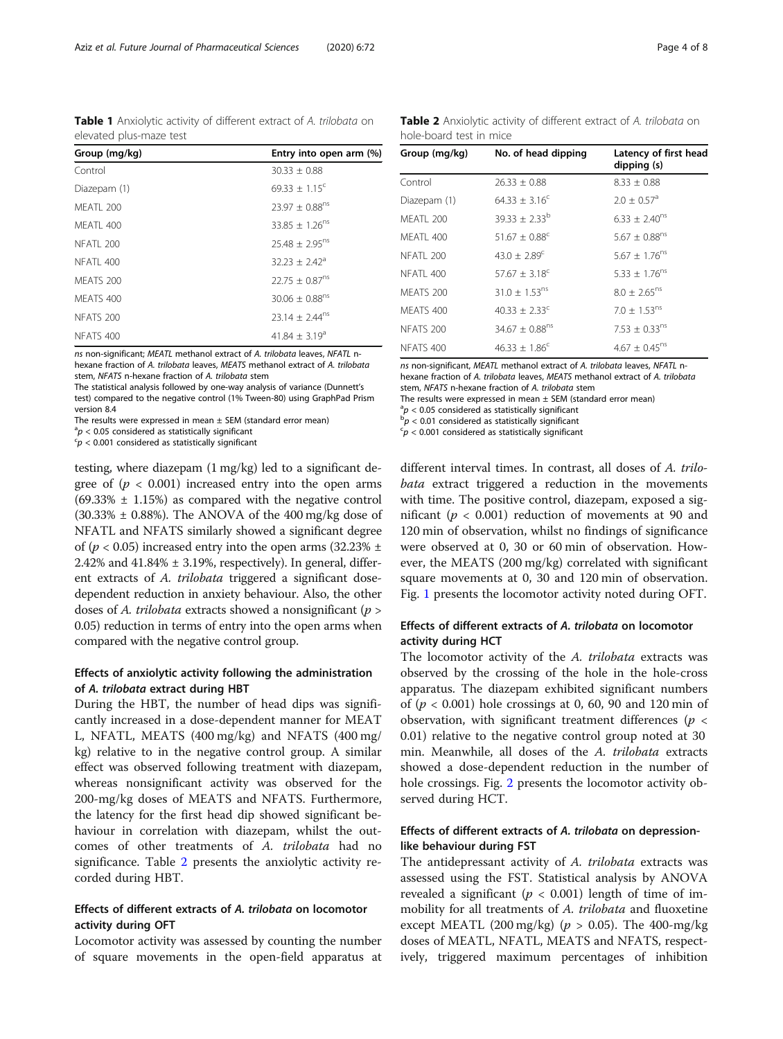<span id="page-3-0"></span>Table 1 Anxiolytic activity of different extract of A. trilobata on elevated plus-maze test

| Group (mg/kg)        | Entry into open arm (%)        |
|----------------------|--------------------------------|
| Control              | $30.33 + 0.88$                 |
| Diazepam (1)         | $69.33 + 1.15^{\circ}$         |
| MFATI 200            | $23.97 \pm 0.88$ <sup>ns</sup> |
| MFATI 400            | $33.85 \pm 1.26$ <sup>ns</sup> |
| <b>NFATI 200</b>     | $25.48 \pm 2.95$ <sup>ns</sup> |
| NFATL 400            | $32.23 + 2.42^a$               |
| MFATS 200            | $22.75 + 0.87$ <sup>ns</sup>   |
| MFATS 400            | $30.06 \pm 0.88$ <sup>ns</sup> |
| NFATS <sub>200</sub> | $23.14 \pm 2.44^{\text{ns}}$   |
| NFATS 400            | $41.84 \pm 3.19^a$             |

ns non-significant; MEATL methanol extract of A. trilobata leaves, NFATL nhexane fraction of A. trilobata leaves, MEATS methanol extract of A. trilobata stem, NFATS n-hexane fraction of A. trilobata stem

The statistical analysis followed by one-way analysis of variance (Dunnett's test) compared to the negative control (1% Tween-80) using GraphPad Prism version 8.4

The results were expressed in mean  $\pm$  SEM (standard error mean)

 $a^2$  $\rho$  < 0.05 considered as statistically significant considered as statistically significant

 $\epsilon_p$  < 0.001 considered as statistically significant

testing, where diazepam (1 mg/kg) led to a significant degree of  $(p < 0.001)$  increased entry into the open arms  $(69.33\% \pm 1.15\%)$  as compared with the negative control  $(30.33% \pm 0.88%)$ . The ANOVA of the 400 mg/kg dose of NFATL and NFATS similarly showed a significant degree of ( $p < 0.05$ ) increased entry into the open arms (32.23%  $\pm$ 2.42% and  $41.84\% \pm 3.19\%$ , respectively). In general, different extracts of A. trilobata triggered a significant dosedependent reduction in anxiety behaviour. Also, the other doses of A. trilobata extracts showed a nonsignificant ( $p >$ 0.05) reduction in terms of entry into the open arms when compared with the negative control group.

# Effects of anxiolytic activity following the administration of A. trilobata extract during HBT

During the HBT, the number of head dips was significantly increased in a dose-dependent manner for MEAT L, NFATL, MEATS (400 mg/kg) and NFATS (400 mg/ kg) relative to in the negative control group. A similar effect was observed following treatment with diazepam, whereas nonsignificant activity was observed for the 200-mg/kg doses of MEATS and NFATS. Furthermore, the latency for the first head dip showed significant behaviour in correlation with diazepam, whilst the outcomes of other treatments of A. trilobata had no significance. Table 2 presents the anxiolytic activity recorded during HBT.

# Effects of different extracts of A. trilobata on locomotor activity during OFT

Locomotor activity was assessed by counting the number of square movements in the open-field apparatus at

| Group (mg/kg)    | No. of head dipping            | Latency of first head<br>dipping (s) |
|------------------|--------------------------------|--------------------------------------|
| Control          | $26.33 + 0.88$                 | $8.33 + 0.88$                        |
| Diazepam (1)     | $64.33 \pm 3.16^c$             | $2.0 \pm 0.57$ <sup>a</sup>          |
| MFATI 200        | $39.33 \pm 2.33^{b}$           | $6.33 \pm 2.40^{ns}$                 |
| MFATI 400        | $51.67 \pm 0.88$ <sup>c</sup>  | $5.67 \pm 0.88$ <sup>ns</sup>        |
| <b>NFATI 200</b> | 43.0 $\pm$ 2.89 <sup>c</sup>   | $5.67 \pm 1.76$ <sup>ns</sup>        |
| <b>NFATI 400</b> | $57.67 \pm 3.18^{\circ}$       | $5.33 \pm 1.76$ <sup>ns</sup>        |
| MFATS 200        | $31.0 + 1.53^{ns}$             | $8.0 \pm 2.65$ <sup>ns</sup>         |
| <b>MFATS 400</b> | $40.33 + 2.33^{\circ}$         | $7.0 \pm 1.53$ <sup>ns</sup>         |
| NFATS 200        | 34.67 $\pm$ 0.88 <sup>ns</sup> | $7.53 \pm 0.33^{ns}$                 |
| <b>NFATS 400</b> | $46.33 \pm 1.86^c$             | $4.67 \pm 0.45$ <sup>ns</sup>        |

Table 2 Anxiolytic activity of different extract of A. trilobata on

ns non-significant, MEATL methanol extract of A. trilobata leaves, NFATL nhexane fraction of A. trilobata leaves, MEATS methanol extract of A. trilobata stem, NFATS n-hexane fraction of A. trilobata stem The results were expressed in mean  $\pm$  SEM (standard error mean)

 $a^2 p < 0.05$  considered as statistically significant b  $b_p < 0.01$  considered as statistically significant

hole-board test in mice

 $p > 0.01$  considered as statistically significant

 $\epsilon_p$  < 0.001 considered as statistically significant

different interval times. In contrast, all doses of A. trilobata extract triggered a reduction in the movements with time. The positive control, diazepam, exposed a significant ( $p < 0.001$ ) reduction of movements at 90 and 120 min of observation, whilst no findings of significance were observed at 0, 30 or 60 min of observation. However, the MEATS (200 mg/kg) correlated with significant square movements at 0, 30 and 120 min of observation. Fig. [1](#page-4-0) presents the locomotor activity noted during OFT.

# Effects of different extracts of A. trilobata on locomotor activity during HCT

The locomotor activity of the A. trilobata extracts was observed by the crossing of the hole in the hole-cross apparatus. The diazepam exhibited significant numbers of  $(p < 0.001)$  hole crossings at 0, 60, 90 and 120 min of observation, with significant treatment differences ( $p <$ 0.01) relative to the negative control group noted at 30 min. Meanwhile, all doses of the A. trilobata extracts showed a dose-dependent reduction in the number of hole crossings. Fig. [2](#page-4-0) presents the locomotor activity observed during HCT.

# Effects of different extracts of A. trilobata on depressionlike behaviour during FST

The antidepressant activity of A. trilobata extracts was assessed using the FST. Statistical analysis by ANOVA revealed a significant ( $p < 0.001$ ) length of time of immobility for all treatments of A. trilobata and fluoxetine except MEATL (200 mg/kg) ( $p > 0.05$ ). The 400-mg/kg doses of MEATL, NFATL, MEATS and NFATS, respectively, triggered maximum percentages of inhibition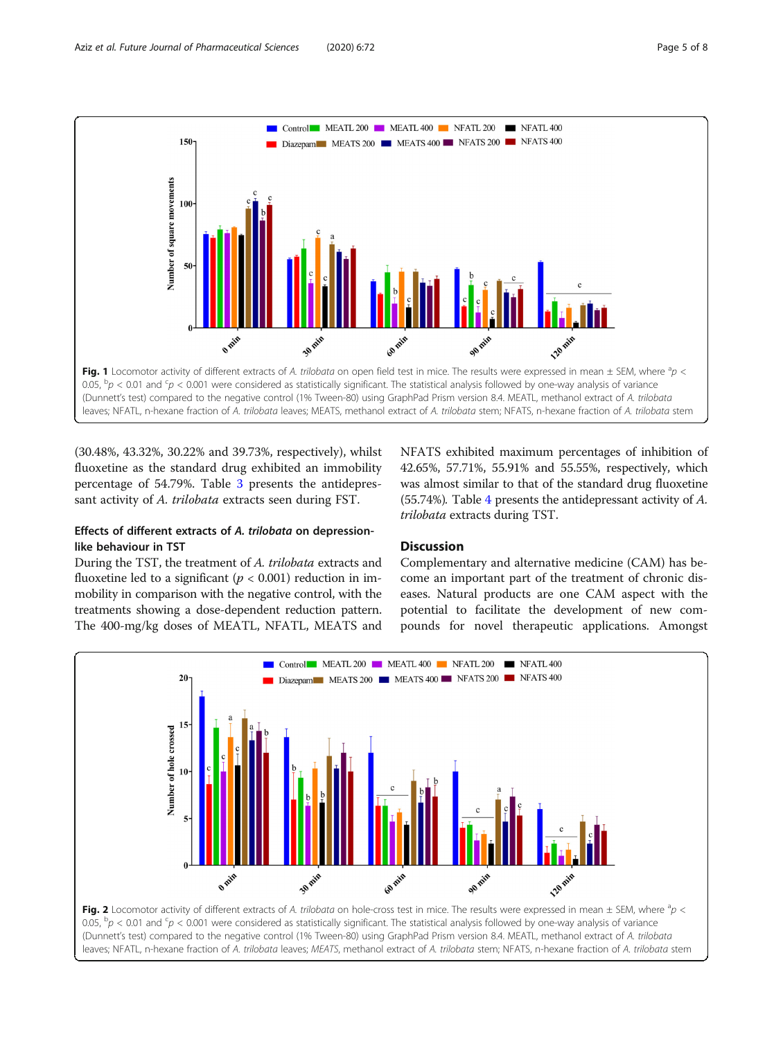<span id="page-4-0"></span>

(30.48%, 43.32%, 30.22% and 39.73%, respectively), whilst fluoxetine as the standard drug exhibited an immobility percentage of 54.79%. Table [3](#page-5-0) presents the antidepressant activity of A. trilobata extracts seen during FST.

# Effects of different extracts of A. trilobata on depressionlike behaviour in TST

During the TST, the treatment of A. trilobata extracts and fluoxetine led to a significant ( $p < 0.001$ ) reduction in immobility in comparison with the negative control, with the treatments showing a dose-dependent reduction pattern. The 400-mg/kg doses of MEATL, NFATL, MEATS and

NFATS exhibited maximum percentages of inhibition of 42.65%, 57.71%, 55.91% and 55.55%, respectively, which was almost similar to that of the standard drug fluoxetine (55.74%). Table [4](#page-5-0) presents the antidepressant activity of A. trilobata extracts during TST.

# **Discussion**

Complementary and alternative medicine (CAM) has become an important part of the treatment of chronic diseases. Natural products are one CAM aspect with the potential to facilitate the development of new compounds for novel therapeutic applications. Amongst

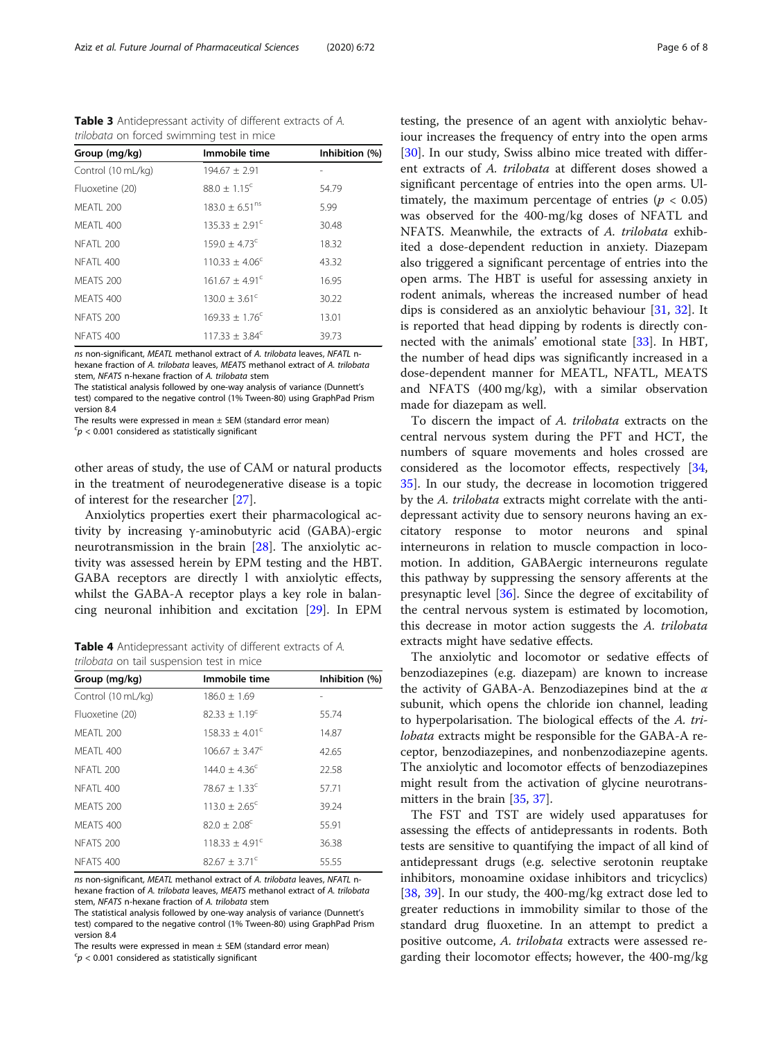<span id="page-5-0"></span>Table 3 Antidepressant activity of different extracts of A. trilobata on forced swimming test in mice

| Group (mg/kg)        | Immobile time                 | Inhibition (%) |
|----------------------|-------------------------------|----------------|
| Control (10 mL/kg)   | $194.67 \pm 2.91$             |                |
| Fluoxetine (20)      | $88.0 + 1.15$ <sup>c</sup>    | 54.79          |
| MFATI 200            | $183.0 + 6.51$ <sup>ns</sup>  | 5.99           |
| MFATI 400            | $135.33 + 2.91^{\circ}$       | 30.48          |
| <b>NFATI 200</b>     | $159.0 \pm 4.73$ <sup>c</sup> | 18.32          |
| NFATL 400            | $110.33 + 4.06^{\circ}$       | 43.32          |
| MFATS 200            | $161.67 + 4.91^{\circ}$       | 16.95          |
| MFATS 400            | $130.0 + 3.61^{\circ}$        | 30.22          |
| NFATS <sub>200</sub> | $169.33 \pm 1.76^c$           | 13.01          |
| <b>NFATS 400</b>     | $117.33 + 3.84^c$             | 39.73          |

ns non-significant, MEATL methanol extract of A. trilobata leaves, NFATL nhexane fraction of A. trilobata leaves, MEATS methanol extract of A. trilobata stem, NFATS n-hexane fraction of A. trilobata stem

The statistical analysis followed by one-way analysis of variance (Dunnett's test) compared to the negative control (1% Tween-80) using GraphPad Prism version 8.4

The results were expressed in mean ± SEM (standard error mean)

 $\epsilon_p$  < 0.001 considered as statistically significant

other areas of study, the use of CAM or natural products in the treatment of neurodegenerative disease is a topic of interest for the researcher [[27\]](#page-7-0).

Anxiolytics properties exert their pharmacological activity by increasing γ-aminobutyric acid (GABA)-ergic neurotransmission in the brain [[28](#page-7-0)]. The anxiolytic activity was assessed herein by EPM testing and the HBT. GABA receptors are directly l with anxiolytic effects, whilst the GABA-A receptor plays a key role in balancing neuronal inhibition and excitation [[29](#page-7-0)]. In EPM

Table 4 Antidepressant activity of different extracts of A. trilobata on tail suspension test in mice

| Group (mg/kg)      | Immobile time                | Inhibition (%) |  |
|--------------------|------------------------------|----------------|--|
| Control (10 mL/kg) | $186.0 \pm 1.69$             |                |  |
| Fluoxetine (20)    | $82.33 \pm 1.19^c$           | 55.74          |  |
| MEATL 200          | $158.33 + 4.01^{\circ}$      | 14.87          |  |
| MEATL 400          | $106.67 \pm 3.47^{\circ}$    | 42.65          |  |
| NFATL 200          | $144.0 + 4.36^{\circ}$       | 22.58          |  |
| NFATL 400          | $78.67 \pm 1.33^{\circ}$     | 57.71          |  |
| MFATS 200          | $113.0 + 2.65^{\circ}$       | 39.24          |  |
| MEATS 400          | $82.0 \pm 2.08$ <sup>c</sup> | 55.91          |  |
| NFATS 200          | $118.33 + 4.91^{\circ}$      | 36.38          |  |
| <b>NFATS 400</b>   | $82.67 + 3.71^{\circ}$       | 55.55          |  |

ns non-significant, MEATL methanol extract of A. trilobata leaves, NFATL nhexane fraction of A. trilobata leaves, MEATS methanol extract of A. trilobata stem, NFATS n-hexane fraction of A. trilobata stem

The statistical analysis followed by one-way analysis of variance (Dunnett's test) compared to the negative control (1% Tween-80) using GraphPad Prism version 8.4

The results were expressed in mean ± SEM (standard error mean)

 $\epsilon_p$  < 0.001 considered as statistically significant

testing, the presence of an agent with anxiolytic behaviour increases the frequency of entry into the open arms [[30\]](#page-7-0). In our study, Swiss albino mice treated with different extracts of A. trilobata at different doses showed a significant percentage of entries into the open arms. Ultimately, the maximum percentage of entries ( $p < 0.05$ ) was observed for the 400-mg/kg doses of NFATL and NFATS. Meanwhile, the extracts of A. trilobata exhibited a dose-dependent reduction in anxiety. Diazepam also triggered a significant percentage of entries into the open arms. The HBT is useful for assessing anxiety in rodent animals, whereas the increased number of head dips is considered as an anxiolytic behaviour [[31,](#page-7-0) [32](#page-7-0)]. It is reported that head dipping by rodents is directly connected with the animals' emotional state [\[33\]](#page-7-0). In HBT, the number of head dips was significantly increased in a dose-dependent manner for MEATL, NFATL, MEATS and NFATS (400 mg/kg), with a similar observation made for diazepam as well.

To discern the impact of A. trilobata extracts on the central nervous system during the PFT and HCT, the numbers of square movements and holes crossed are considered as the locomotor effects, respectively [[34](#page-7-0), [35\]](#page-7-0). In our study, the decrease in locomotion triggered by the A. trilobata extracts might correlate with the antidepressant activity due to sensory neurons having an excitatory response to motor neurons and spinal interneurons in relation to muscle compaction in locomotion. In addition, GABAergic interneurons regulate this pathway by suppressing the sensory afferents at the presynaptic level [\[36\]](#page-7-0). Since the degree of excitability of the central nervous system is estimated by locomotion, this decrease in motor action suggests the A. trilobata extracts might have sedative effects.

The anxiolytic and locomotor or sedative effects of benzodiazepines (e.g. diazepam) are known to increase the activity of GABA-A. Benzodiazepines bind at the  $\alpha$ subunit, which opens the chloride ion channel, leading to hyperpolarisation. The biological effects of the A. trilobata extracts might be responsible for the GABA-A receptor, benzodiazepines, and nonbenzodiazepine agents. The anxiolytic and locomotor effects of benzodiazepines might result from the activation of glycine neurotransmitters in the brain [[35](#page-7-0), [37](#page-7-0)].

The FST and TST are widely used apparatuses for assessing the effects of antidepressants in rodents. Both tests are sensitive to quantifying the impact of all kind of antidepressant drugs (e.g. selective serotonin reuptake inhibitors, monoamine oxidase inhibitors and tricyclics) [[38,](#page-7-0) [39\]](#page-7-0). In our study, the 400-mg/kg extract dose led to greater reductions in immobility similar to those of the standard drug fluoxetine. In an attempt to predict a positive outcome, A. trilobata extracts were assessed regarding their locomotor effects; however, the 400-mg/kg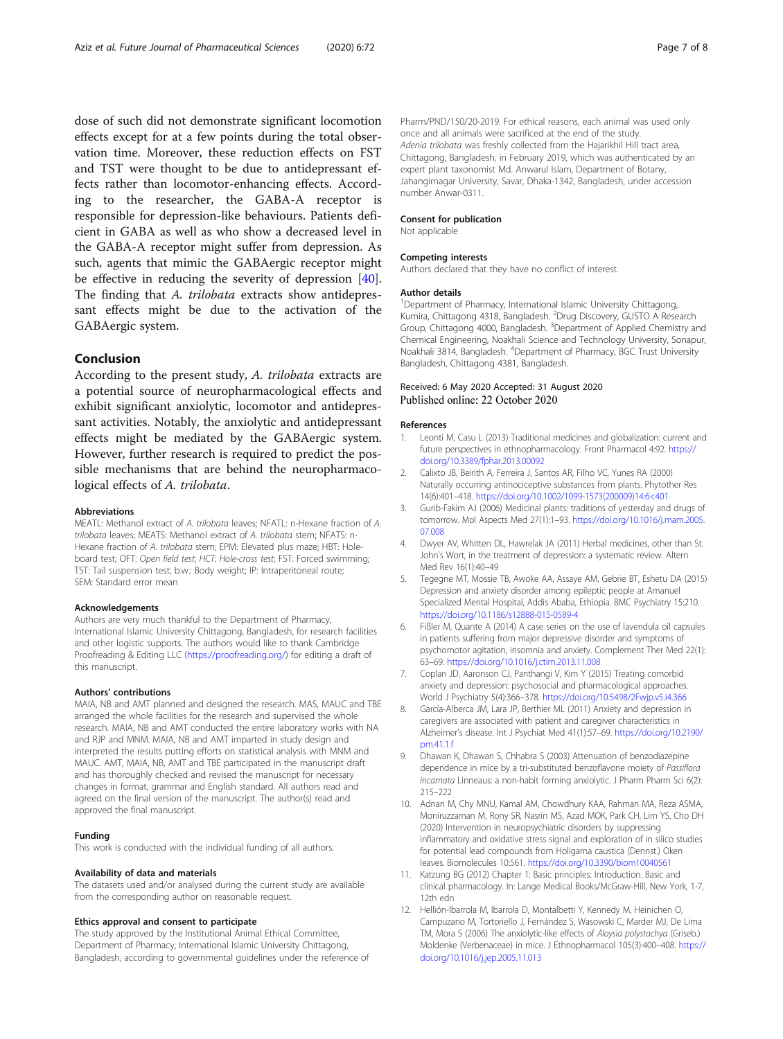<span id="page-6-0"></span>dose of such did not demonstrate significant locomotion effects except for at a few points during the total observation time. Moreover, these reduction effects on FST and TST were thought to be due to antidepressant effects rather than locomotor-enhancing effects. According to the researcher, the GABA-A receptor is responsible for depression-like behaviours. Patients deficient in GABA as well as who show a decreased level in the GABA-A receptor might suffer from depression. As such, agents that mimic the GABAergic receptor might be effective in reducing the severity of depression [\[40](#page-7-0)]. The finding that A. trilobata extracts show antidepressant effects might be due to the activation of the GABAergic system.

## Conclusion

According to the present study, A. trilobata extracts are a potential source of neuropharmacological effects and exhibit significant anxiolytic, locomotor and antidepressant activities. Notably, the anxiolytic and antidepressant effects might be mediated by the GABAergic system. However, further research is required to predict the possible mechanisms that are behind the neuropharmacological effects of A. trilobata.

#### Abbreviations

MEATL: Methanol extract of A. trilobata leaves; NFATL: n-Hexane fraction of A. trilobata leaves; MEATS: Methanol extract of A. trilobata stem; NFATS: n-Hexane fraction of A. trilobata stem; EPM: Elevated plus maze; HBT: Holeboard test; OFT: Open field test; HCT: Hole-cross test; FST: Forced swimming; TST: Tail suspension test; b.w.: Body weight; IP: Intraperitoneal route; SEM: Standard error mean

#### Acknowledgements

Authors are very much thankful to the Department of Pharmacy, International Islamic University Chittagong, Bangladesh, for research facilities and other logistic supports. The authors would like to thank Cambridge Proofreading & Editing LLC [\(https://proofreading.org/](https://proofreading.org/)) for editing a draft of this manuscript.

#### Authors' contributions

MAIA, NB and AMT planned and designed the research. MAS, MAUC and TBE arranged the whole facilities for the research and supervised the whole research. MAIA, NB and AMT conducted the entire laboratory works with NA and RJP and MNM. MAIA, NB and AMT imparted in study design and interpreted the results putting efforts on statistical analysis with MNM and MAUC. AMT, MAIA, NB, AMT and TBE participated in the manuscript draft and has thoroughly checked and revised the manuscript for necessary changes in format, grammar and English standard. All authors read and agreed on the final version of the manuscript. The author(s) read and approved the final manuscript.

#### Funding

This work is conducted with the individual funding of all authors.

#### Availability of data and materials

The datasets used and/or analysed during the current study are available from the corresponding author on reasonable request.

#### Ethics approval and consent to participate

The study approved by the Institutional Animal Ethical Committee, Department of Pharmacy, International Islamic University Chittagong, Bangladesh, according to governmental guidelines under the reference of Pharm/PND/150/20-2019. For ethical reasons, each animal was used only once and all animals were sacrificed at the end of the study. Adenia trilobata was freshly collected from the Hajarikhil Hill tract area, Chittagong, Bangladesh, in February 2019, which was authenticated by an expert plant taxonomist Md. Anwarul Islam, Department of Botany, Jahangirnagar University, Savar, Dhaka-1342, Bangladesh, under accession number Anwar-0311.

#### Consent for publication

Not applicable

#### Competing interests

Authors declared that they have no conflict of interest.

#### Author details

<sup>1</sup>Department of Pharmacy, International Islamic University Chittagong, Kumira, Chittagong 4318, Bangladesh. <sup>2</sup>Drug Discovery, GUSTO A Research Group, Chittagong 4000, Bangladesh. <sup>3</sup>Department of Applied Chemistry and Chemical Engineering, Noakhali Science and Technology University, Sonapur, Noakhali 3814, Bangladesh. <sup>4</sup>Department of Pharmacy, BGC Trust University Bangladesh, Chittagong 4381, Bangladesh.

# Received: 6 May 2020 Accepted: 31 August 2020<br>Published online: 22 October 2020

#### References

- 1. Leonti M, Casu L (2013) Traditional medicines and globalization: current and future perspectives in ethnopharmacology. Front Pharmacol 4:92. [https://](https://doi.org/10.3389/fphar.2013.00092) [doi.org/10.3389/fphar.2013.00092](https://doi.org/10.3389/fphar.2013.00092)
- 2. Calixto JB, Beirith A, Ferreira J, Santos AR, Filho VC, Yunes RA (2000) Naturally occurring antinociceptive substances from plants. Phytother Res 14(6):401–418. [https://doi.org/10.1002/1099-1573\(200009\)14:6<401](https://doi.org/10.1002/1099-1573(200009)14:6<401)
- 3. Gurib-Fakim AJ (2006) Medicinal plants: traditions of yesterday and drugs of tomorrow. Mol Aspects Med 27(1):1–93. [https://doi.org/10.1016/j.mam.2005.](https://doi.org/10.1016/j.mam.2005.07.008) [07.008](https://doi.org/10.1016/j.mam.2005.07.008)
- 4. Dwyer AV, Whitten DL, Hawrelak JA (2011) Herbal medicines, other than St. John's Wort, in the treatment of depression: a systematic review. Altern Med Rev 16(1):40–49
- 5. Tegegne MT, Mossie TB, Awoke AA, Assaye AM, Gebrie BT, Eshetu DA (2015) Depression and anxiety disorder among epileptic people at Amanuel Specialized Mental Hospital, Addis Ababa, Ethiopia. BMC Psychiatry 15:210. <https://doi.org/10.1186/s12888-015-0589-4>
- 6. Fißler M, Quante A (2014) A case series on the use of lavendula oil capsules in patients suffering from major depressive disorder and symptoms of psychomotor agitation, insomnia and anxiety. Complement Ther Med 22(1): 63–69. <https://doi.org/10.1016/j.ctim.2013.11.008>
- 7. Coplan JD, Aaronson CJ, Panthangi V, Kim Y (2015) Treating comorbid anxiety and depression: psychosocial and pharmacological approaches. World J Psychiatry 5(4):366–378. <https://doi.org/10.5498/2Fwjp.v5.i4.366>
- 8. García-Alberca JM, Lara JP, Berthier ML (2011) Anxiety and depression in caregivers are associated with patient and caregiver characteristics in Alzheimer's disease. Int J Psychiat Med 41(1):57–69. [https://doi.org/10.2190/](https://doi.org/10.2190/pm.41.1.f) [pm.41.1.f](https://doi.org/10.2190/pm.41.1.f)
- 9. Dhawan K, Dhawan S, Chhabra S (2003) Attenuation of benzodiazepine dependence in mice by a tri-substituted benzoflavone moiety of Passiflora incarnata Linneaus: a non-habit forming anxiolytic. J Pharm Pharm Sci 6(2): 215–222
- 10. Adnan M, Chy MNU, Kamal AM, Chowdhury KAA, Rahman MA, Reza ASMA, Moniruzzaman M, Rony SR, Nasrin MS, Azad MOK, Park CH, Lim YS, Cho DH (2020) Intervention in neuropsychiatric disorders by suppressing inflammatory and oxidative stress signal and exploration of in silico studies for potential lead compounds from Holigarna caustica (Dennst.) Oken leaves. Biomolecules 10:561. <https://doi.org/10.3390/biom10040561>
- 11. Katzung BG (2012) Chapter 1: Basic principles: Introduction. Basic and clinical pharmacology. In: Lange Medical Books/McGraw-Hill, New York, 1-7, 12th edn
- 12. Hellión-Ibarrola M, Ibarrola D, Montalbetti Y, Kennedy M, Heinichen O, Campuzano M, Tortoriello J, Fernández S, Wasowski C, Marder MJ, De Lima TM, Mora S (2006) The anxiolytic-like effects of Aloysia polystachya (Griseb.) Moldenke (Verbenaceae) in mice. J Ethnopharmacol 105(3):400–408. [https://](https://doi.org/10.1016/j.jep.2005.11.013) [doi.org/10.1016/j.jep.2005.11.013](https://doi.org/10.1016/j.jep.2005.11.013)